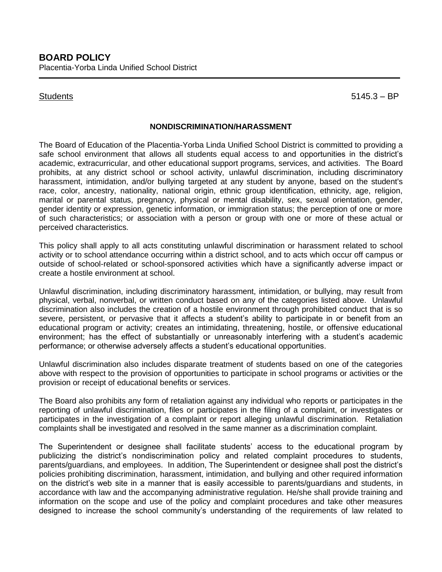Students 5145.3 – BP

## **NONDISCRIMINATION/HARASSMENT**

The Board of Education of the Placentia-Yorba Linda Unified School District is committed to providing a safe school environment that allows all students equal access to and opportunities in the district's academic, extracurricular, and other educational support programs, services, and activities. The Board prohibits, at any district school or school activity, unlawful discrimination, including discriminatory harassment, intimidation, and/or bullying targeted at any student by anyone, based on the student's race, color, ancestry, nationality, national origin, ethnic group identification, ethnicity, age, religion, marital or parental status, pregnancy, physical or mental disability, sex, sexual orientation, gender, gender identity or expression, genetic information, or immigration status; the perception of one or more of such characteristics; or association with a person or group with one or more of these actual or perceived characteristics.

This policy shall apply to all acts constituting unlawful discrimination or harassment related to school activity or to school attendance occurring within a district school, and to acts which occur off campus or outside of school-related or school-sponsored activities which have a significantly adverse impact or create a hostile environment at school.

Unlawful discrimination, including discriminatory harassment, intimidation, or bullying, may result from physical, verbal, nonverbal, or written conduct based on any of the categories listed above. Unlawful discrimination also includes the creation of a hostile environment through prohibited conduct that is so severe, persistent, or pervasive that it affects a student's ability to participate in or benefit from an educational program or activity; creates an intimidating, threatening, hostile, or offensive educational environment; has the effect of substantially or unreasonably interfering with a student's academic performance; or otherwise adversely affects a student's educational opportunities.

Unlawful discrimination also includes disparate treatment of students based on one of the categories above with respect to the provision of opportunities to participate in school programs or activities or the provision or receipt of educational benefits or services.

The Board also prohibits any form of retaliation against any individual who reports or participates in the reporting of unlawful discrimination, files or participates in the filing of a complaint, or investigates or participates in the investigation of a complaint or report alleging unlawful discrimination. Retaliation complaints shall be investigated and resolved in the same manner as a discrimination complaint.

The Superintendent or designee shall facilitate students' access to the educational program by publicizing the district's nondiscrimination policy and related complaint procedures to students, parents/guardians, and employees. In addition, The Superintendent or designee shall post the district's policies prohibiting discrimination, harassment, intimidation, and bullying and other required information on the district's web site in a manner that is easily accessible to parents/guardians and students, in accordance with law and the accompanying administrative regulation. He/she shall provide training and information on the scope and use of the policy and complaint procedures and take other measures designed to increase the school community's understanding of the requirements of law related to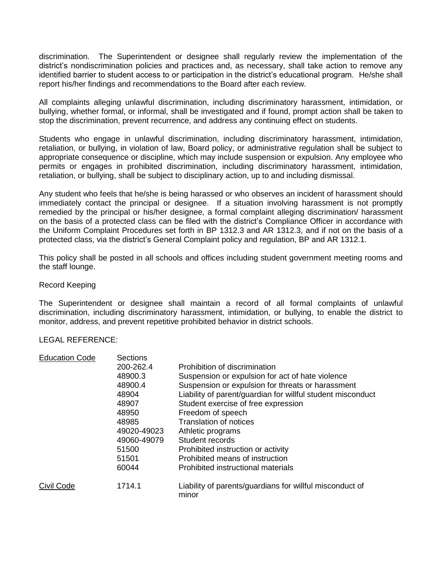discrimination. The Superintendent or designee shall regularly review the implementation of the district's nondiscrimination policies and practices and, as necessary, shall take action to remove any identified barrier to student access to or participation in the district's educational program. He/she shall report his/her findings and recommendations to the Board after each review.

All complaints alleging unlawful discrimination, including discriminatory harassment, intimidation, or bullying, whether formal, or informal, shall be investigated and if found, prompt action shall be taken to stop the discrimination, prevent recurrence, and address any continuing effect on students.

Students who engage in unlawful discrimination, including discriminatory harassment, intimidation, retaliation, or bullying, in violation of law, Board policy, or administrative regulation shall be subject to appropriate consequence or discipline, which may include suspension or expulsion. Any employee who permits or engages in prohibited discrimination, including discriminatory harassment, intimidation, retaliation, or bullying, shall be subject to disciplinary action, up to and including dismissal.

Any student who feels that he/she is being harassed or who observes an incident of harassment should immediately contact the principal or designee. If a situation involving harassment is not promptly remedied by the principal or his/her designee, a formal complaint alleging discrimination/ harassment on the basis of a protected class can be filed with the district's Compliance Officer in accordance with the Uniform Complaint Procedures set forth in BP 1312.3 and AR 1312.3, and if not on the basis of a protected class, via the district's General Complaint policy and regulation, BP and AR 1312.1.

This policy shall be posted in all schools and offices including student government meeting rooms and the staff lounge.

## Record Keeping

The Superintendent or designee shall maintain a record of all formal complaints of unlawful discrimination, including discriminatory harassment, intimidation, or bullying, to enable the district to monitor, address, and prevent repetitive prohibited behavior in district schools.

## LEGAL REFERENCE:

| <b>Education Code</b> | Sections    |                                                                   |
|-----------------------|-------------|-------------------------------------------------------------------|
|                       | 200-262.4   | Prohibition of discrimination                                     |
|                       | 48900.3     | Suspension or expulsion for act of hate violence                  |
|                       | 48900.4     | Suspension or expulsion for threats or harassment                 |
|                       | 48904       | Liability of parent/guardian for willful student misconduct       |
|                       | 48907       | Student exercise of free expression                               |
|                       | 48950       | Freedom of speech                                                 |
|                       | 48985       | <b>Translation of notices</b>                                     |
|                       | 49020-49023 | Athletic programs                                                 |
|                       | 49060-49079 | Student records                                                   |
|                       | 51500       | Prohibited instruction or activity                                |
|                       | 51501       | Prohibited means of instruction                                   |
|                       | 60044       | Prohibited instructional materials                                |
| Civil Code            | 1714.1      | Liability of parents/guardians for willful misconduct of<br>minor |